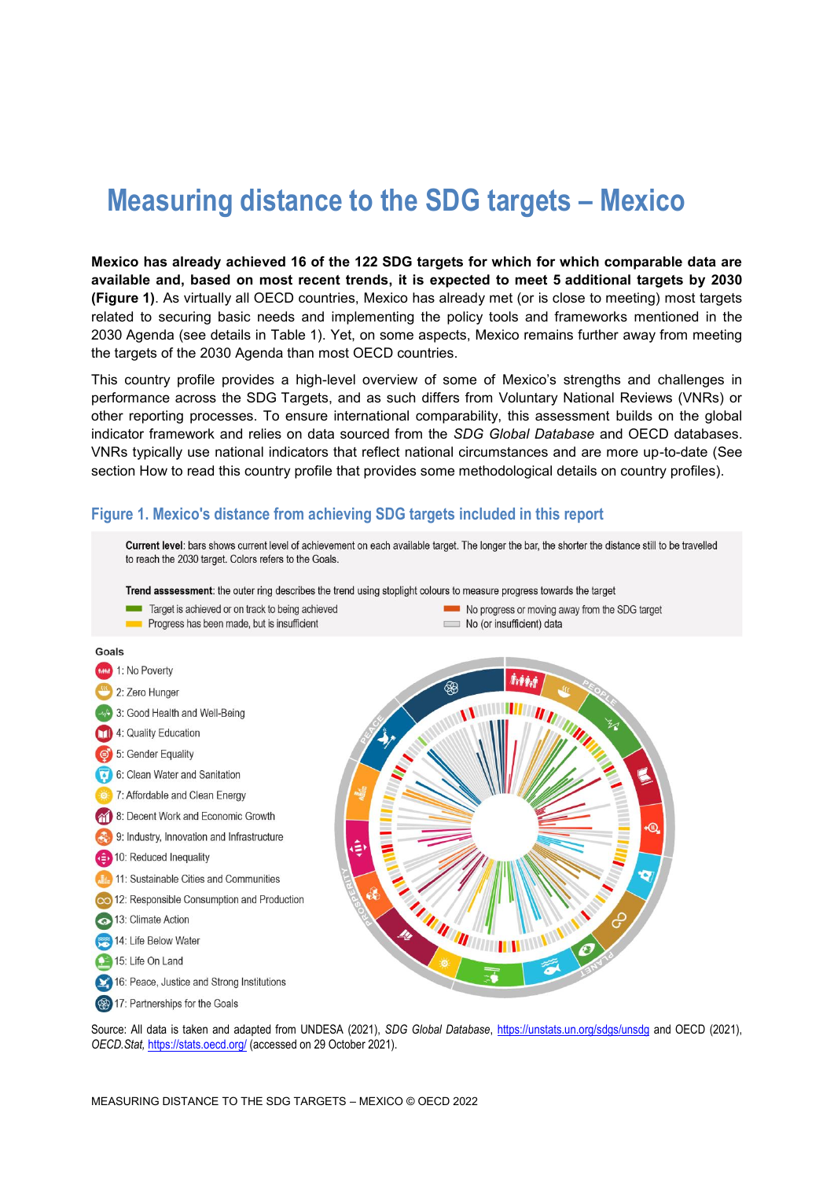# **Measuring distance to the SDG targets – Mexico**

**Mexico has already achieved 16 of the 122 SDG targets for which for which comparable data are available and, based on most recent trends, it is expected to meet 5 additional targets by 2030 [\(Figure](#page-0-0) 1)**. As virtually all OECD countries, Mexico has already met (or is close to meeting) most targets related to securing basic needs and implementing the policy tools and frameworks mentioned in the 2030 Agenda (see details in [Table](#page-4-0) 1). Yet, on some aspects, Mexico remains further away from meeting the targets of the 2030 Agenda than most OECD countries.

This country profile provides a high-level overview of some of Mexico's strengths and challenges in performance across the SDG Targets, and as such differs from Voluntary National Reviews (VNRs) or other reporting processes. To ensure international comparability, this assessment builds on the global indicator framework and relies on data sourced from the *SDG Global Database* and OECD databases. VNRs typically use national indicators that reflect national circumstances and are more up-to-date (See section [How to read this](#page-8-0) country profile that provides some methodological details on country profiles).

### <span id="page-0-0"></span>**Figure 1. Mexico's distance from achieving SDG targets included in this report**



Source: All data is taken and adapted from UNDESA (2021), *SDG Global Database*,<https://unstats.un.org/sdgs/unsdg> and OECD (2021), *OECD.Stat,* <https://stats.oecd.org/> (accessed on 29 October 2021).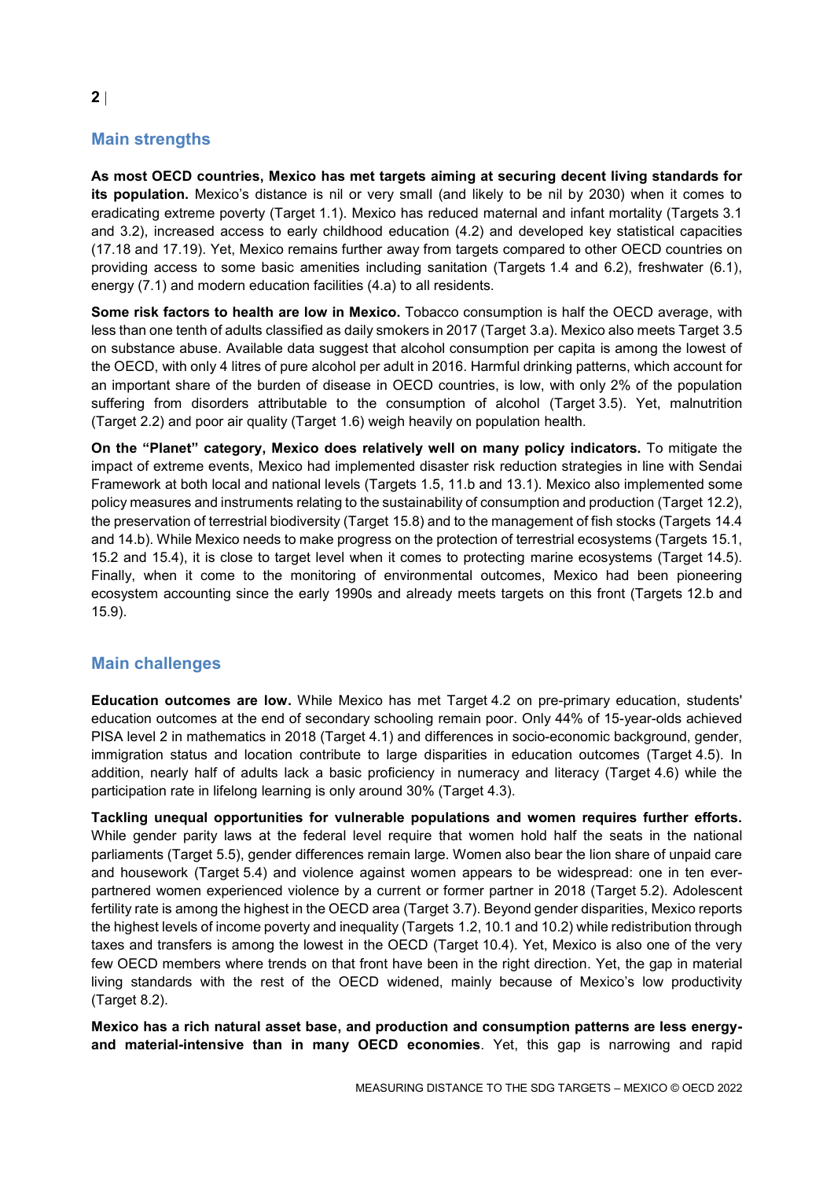# **Main strengths**

**As most OECD countries, Mexico has met targets aiming at securing decent living standards for its population.** Mexico's distance is nil or very small (and likely to be nil by 2030) when it comes to eradicating extreme poverty (Target 1.1). Mexico has reduced maternal and infant mortality (Targets 3.1 and 3.2), increased access to early childhood education (4.2) and developed key statistical capacities (17.18 and 17.19). Yet, Mexico remains further away from targets compared to other OECD countries on providing access to some basic amenities including sanitation (Targets 1.4 and 6.2), freshwater (6.1), energy (7.1) and modern education facilities (4.a) to all residents.

**Some risk factors to health are low in Mexico.** Tobacco consumption is half the OECD average, with less than one tenth of adults classified as daily smokers in 2017 (Target 3.a). Mexico also meets Target 3.5 on substance abuse. Available data suggest that alcohol consumption per capita is among the lowest of the OECD, with only 4 litres of pure alcohol per adult in 2016. Harmful drinking patterns, which account for an important share of the burden of disease in OECD countries, is low, with only 2% of the population suffering from disorders attributable to the consumption of alcohol (Target 3.5). Yet, malnutrition (Target 2.2) and poor air quality (Target 1.6) weigh heavily on population health.

**On the "Planet" category, Mexico does relatively well on many policy indicators.** To mitigate the impact of extreme events, Mexico had implemented disaster risk reduction strategies in line with Sendai Framework at both local and national levels (Targets 1.5, 11.b and 13.1). Mexico also implemented some policy measures and instruments relating to the sustainability of consumption and production (Target 12.2), the preservation of terrestrial biodiversity (Target 15.8) and to the management of fish stocks (Targets 14.4 and 14.b). While Mexico needs to make progress on the protection of terrestrial ecosystems (Targets 15.1, 15.2 and 15.4), it is close to target level when it comes to protecting marine ecosystems (Target 14.5). Finally, when it come to the monitoring of environmental outcomes, Mexico had been pioneering ecosystem accounting since the early 1990s and already meets targets on this front (Targets 12.b and 15.9).

# **Main challenges**

**Education outcomes are low.** While Mexico has met Target 4.2 on pre-primary education, students' education outcomes at the end of secondary schooling remain poor. Only 44% of 15-year-olds achieved PISA level 2 in mathematics in 2018 (Target 4.1) and differences in socio-economic background, gender, immigration status and location contribute to large disparities in education outcomes (Target 4.5). In addition, nearly half of adults lack a basic proficiency in numeracy and literacy (Target 4.6) while the participation rate in lifelong learning is only around 30% (Target 4.3).

**Tackling unequal opportunities for vulnerable populations and women requires further efforts.** While gender parity laws at the federal level require that women hold half the seats in the national parliaments (Target 5.5), gender differences remain large. Women also bear the lion share of unpaid care and housework (Target 5.4) and violence against women appears to be widespread: one in ten everpartnered women experienced violence by a current or former partner in 2018 (Target 5.2). Adolescent fertility rate is among the highest in the OECD area (Target 3.7). Beyond gender disparities, Mexico reports the highest levels of income poverty and inequality (Targets 1.2, 10.1 and 10.2) while redistribution through taxes and transfers is among the lowest in the OECD (Target 10.4). Yet, Mexico is also one of the very few OECD members where trends on that front have been in the right direction. Yet, the gap in material living standards with the rest of the OECD widened, mainly because of Mexico's low productivity (Target 8.2).

**Mexico has a rich natural asset base, and production and consumption patterns are less energyand material-intensive than in many OECD economies**. Yet, this gap is narrowing and rapid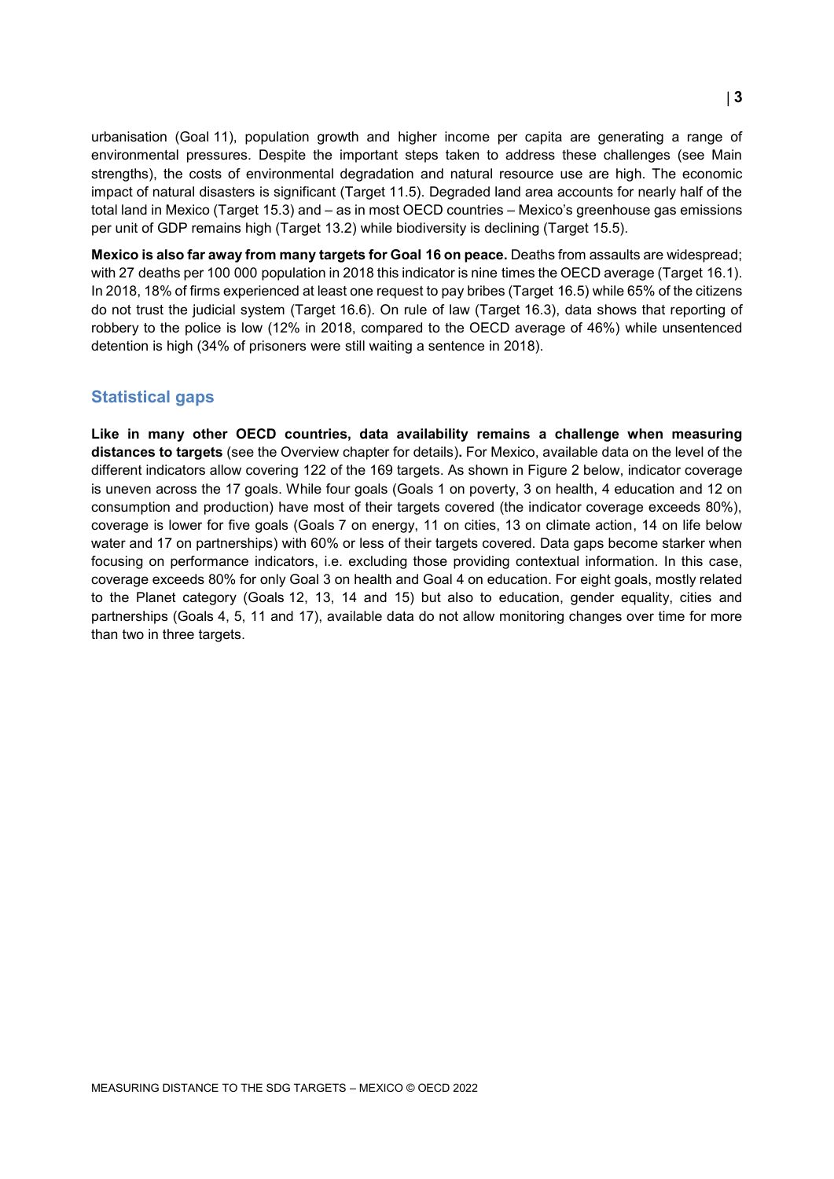urbanisation (Goal 11), population growth and higher income per capita are generating a range of environmental pressures. Despite the important steps taken to address these challenges (see Main strengths), the costs of environmental degradation and natural resource use are high. The economic impact of natural disasters is significant (Target 11.5). Degraded land area accounts for nearly half of the total land in Mexico (Target 15.3) and – as in most OECD countries – Mexico's greenhouse gas emissions per unit of GDP remains high (Target 13.2) while biodiversity is declining (Target 15.5).

**Mexico is also far away from many targets for Goal 16 on peace.** Deaths from assaults are widespread; with 27 deaths per 100 000 population in 2018 this indicator is nine times the OECD average (Target 16.1). In 2018, 18% of firms experienced at least one request to pay bribes (Target 16.5) while 65% of the citizens do not trust the judicial system (Target 16.6). On rule of law (Target 16.3), data shows that reporting of robbery to the police is low (12% in 2018, compared to the OECD average of 46%) while unsentenced detention is high (34% of prisoners were still waiting a sentence in 2018).

## **Statistical gaps**

**Like in many other OECD countries, data availability remains a challenge when measuring distances to targets** (see the Overview chapter for details)**.** For Mexico, available data on the level of the different indicators allow covering 122 of the 169 targets. As shown in [Figure](#page-3-0) 2 below, indicator coverage is uneven across the 17 goals. While four goals (Goals 1 on poverty, 3 on health, 4 education and 12 on consumption and production) have most of their targets covered (the indicator coverage exceeds 80%), coverage is lower for five goals (Goals 7 on energy, 11 on cities, 13 on climate action, 14 on life below water and 17 on partnerships) with 60% or less of their targets covered. Data gaps become starker when focusing on performance indicators, i.e. excluding those providing contextual information. In this case, coverage exceeds 80% for only Goal 3 on health and Goal 4 on education. For eight goals, mostly related to the Planet category (Goals 12, 13, 14 and 15) but also to education, gender equality, cities and partnerships (Goals 4, 5, 11 and 17), available data do not allow monitoring changes over time for more than two in three targets.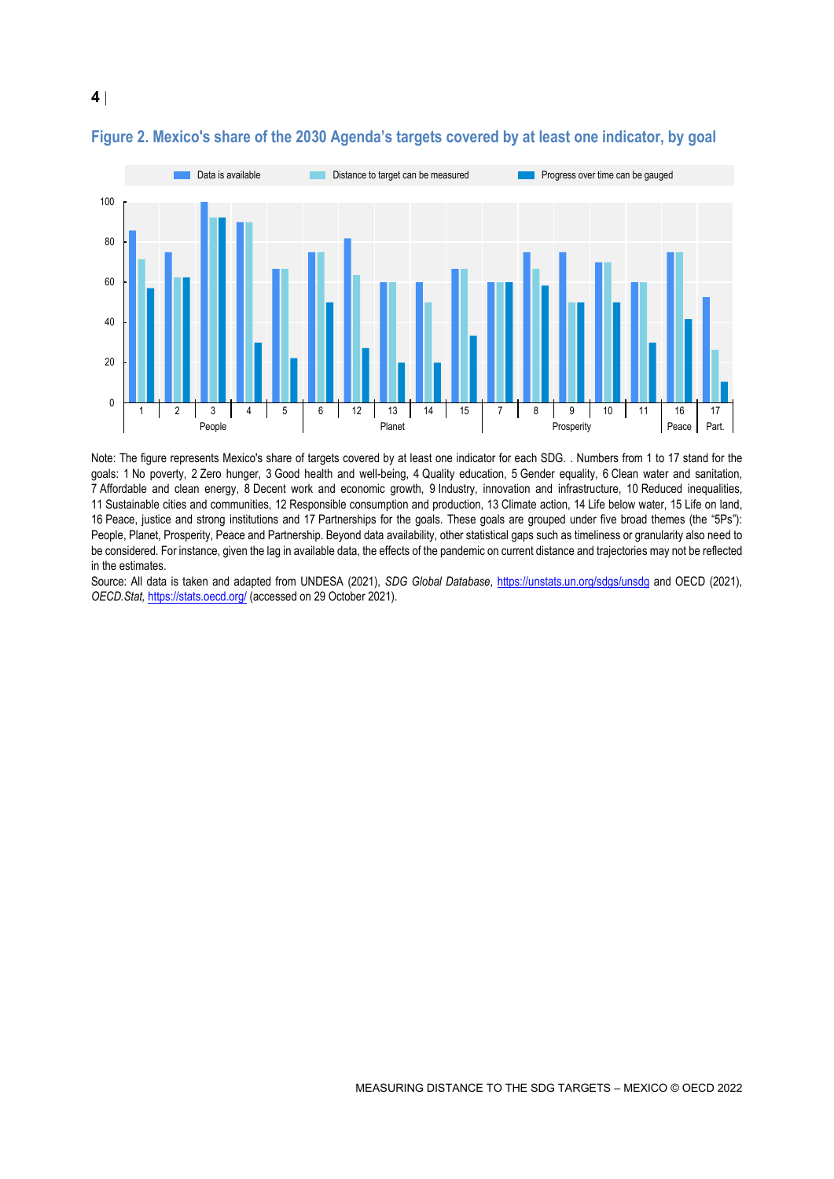

## <span id="page-3-0"></span>**Figure 2. Mexico's share of the 2030 Agenda's targets covered by at least one indicator, by goal**

**4**

Note: The figure represents Mexico's share of targets covered by at least one indicator for each SDG. . Numbers from 1 to 17 stand for the goals: 1 No poverty, 2 Zero hunger, 3 Good health and well-being, 4 Quality education, 5 Gender equality, 6 Clean water and sanitation, 7 Affordable and clean energy, 8 Decent work and economic growth, 9 Industry, innovation and infrastructure, 10 Reduced inequalities, 11 Sustainable cities and communities, 12 Responsible consumption and production, 13 Climate action, 14 Life below water, 15 Life on land, 16 Peace, justice and strong institutions and 17 Partnerships for the goals. These goals are grouped under five broad themes (the "5Ps"): People, Planet, Prosperity, Peace and Partnership. Beyond data availability, other statistical gaps such as timeliness or granularity also need to be considered. For instance, given the lag in available data, the effects of the pandemic on current distance and trajectories may not be reflected in the estimates.

Source: All data is taken and adapted from UNDESA (2021), *SDG Global Database*,<https://unstats.un.org/sdgs/unsdg> and OECD (2021), *OECD.Stat,* <https://stats.oecd.org/> (accessed on 29 October 2021).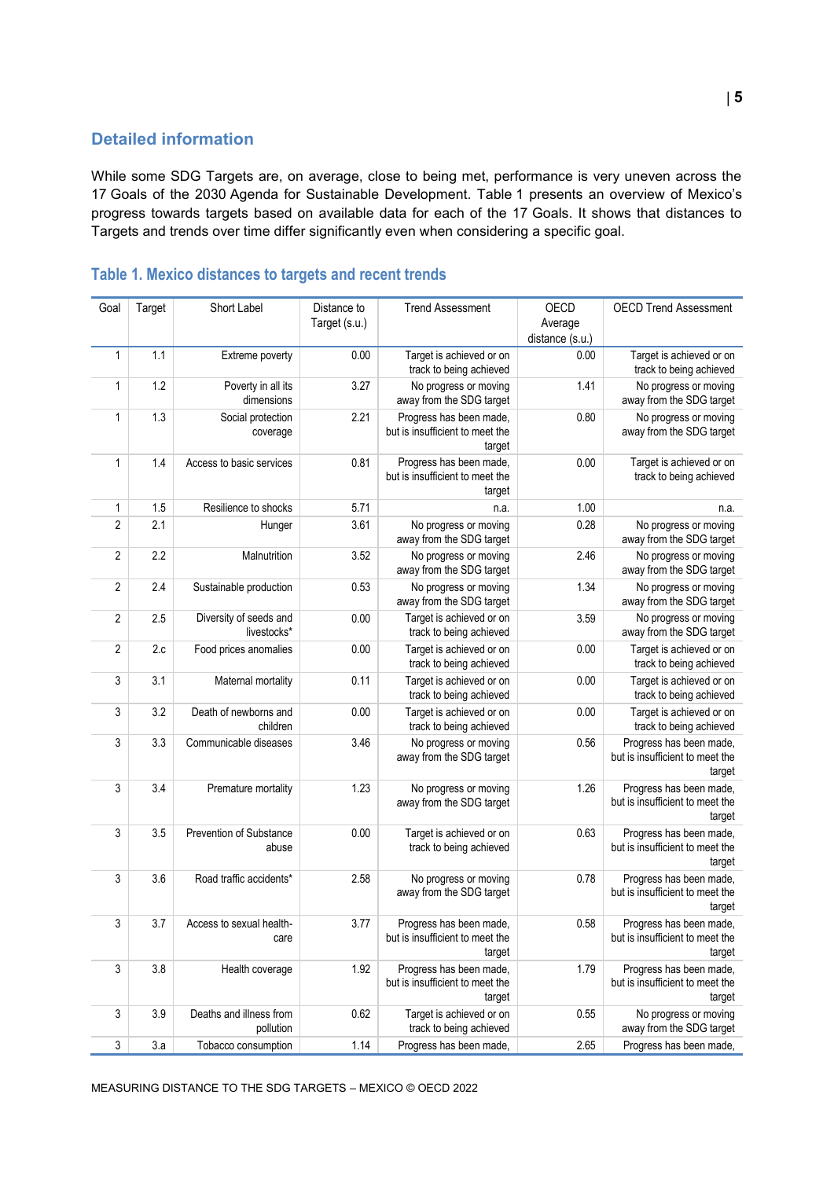## **Detailed information**

While some SDG Targets are, on average, close to being met, performance is very uneven across the 17 Goals of the 2030 Agenda for Sustainable Development. [Table](#page-4-0) 1 presents an overview of Mexico's progress towards targets based on available data for each of the 17 Goals. It shows that distances to Targets and trends over time differ significantly even when considering a specific goal.

| Goal           | Target | Short Label                           | Distance to<br>Target (s.u.) | <b>Trend Assessment</b>                                              | OECD<br>Average<br>distance (s.u.) | <b>OECD Trend Assessment</b>                                         |
|----------------|--------|---------------------------------------|------------------------------|----------------------------------------------------------------------|------------------------------------|----------------------------------------------------------------------|
| $\mathbf{1}$   | 1.1    | Extreme poverty                       | 0.00                         | Target is achieved or on<br>track to being achieved                  | 0.00                               | Target is achieved or on<br>track to being achieved                  |
| 1              | 1.2    | Poverty in all its<br>dimensions      | 3.27                         | No progress or moving<br>away from the SDG target                    | 1.41                               | No progress or moving<br>away from the SDG target                    |
| 1              | 1.3    | Social protection<br>coverage         | 2.21                         | Progress has been made,<br>but is insufficient to meet the<br>target | 0.80                               | No progress or moving<br>away from the SDG target                    |
| 1              | 1.4    | Access to basic services              | 0.81                         | Progress has been made,<br>but is insufficient to meet the<br>target | 0.00                               | Target is achieved or on<br>track to being achieved                  |
| 1              | 1.5    | Resilience to shocks                  | 5.71                         | n.a.                                                                 | 1.00                               | n.a.                                                                 |
| $\overline{2}$ | 2.1    | Hunger                                | 3.61                         | No progress or moving<br>away from the SDG target                    | 0.28                               | No progress or moving<br>away from the SDG target                    |
| $\overline{2}$ | 2.2    | Malnutrition                          | 3.52                         | No progress or moving<br>away from the SDG target                    | 2.46                               | No progress or moving<br>away from the SDG target                    |
| $\overline{2}$ | 2.4    | Sustainable production                | 0.53                         | No progress or moving<br>away from the SDG target                    | 1.34                               | No progress or moving<br>away from the SDG target                    |
| $\overline{2}$ | 2.5    | Diversity of seeds and<br>livestocks* | 0.00                         | Target is achieved or on<br>track to being achieved                  | 3.59                               | No progress or moving<br>away from the SDG target                    |
| $\overline{2}$ | 2.c    | Food prices anomalies                 | 0.00                         | Target is achieved or on<br>track to being achieved                  | 0.00                               | Target is achieved or on<br>track to being achieved                  |
| 3              | 3.1    | Maternal mortality                    | 0.11                         | Target is achieved or on<br>track to being achieved                  | 0.00                               | Target is achieved or on<br>track to being achieved                  |
| 3              | 3.2    | Death of newborns and<br>children     | 0.00                         | Target is achieved or on<br>track to being achieved                  | 0.00                               | Target is achieved or on<br>track to being achieved                  |
| 3              | 3.3    | Communicable diseases                 | 3.46                         | No progress or moving<br>away from the SDG target                    | 0.56                               | Progress has been made,<br>but is insufficient to meet the<br>target |
| 3              | 3.4    | Premature mortality                   | 1.23                         | No progress or moving<br>away from the SDG target                    | 1.26                               | Progress has been made,<br>but is insufficient to meet the<br>target |
| 3              | 3.5    | Prevention of Substance<br>abuse      | 0.00                         | Target is achieved or on<br>track to being achieved                  | 0.63                               | Progress has been made,<br>but is insufficient to meet the<br>target |
| 3              | 3.6    | Road traffic accidents*               | 2.58                         | No progress or moving<br>away from the SDG target                    | 0.78                               | Progress has been made,<br>but is insufficient to meet the<br>target |
| 3              | 3.7    | Access to sexual health-<br>care      | 3.77                         | Progress has been made,<br>but is insufficient to meet the<br>target | 0.58                               | Progress has been made,<br>but is insufficient to meet the<br>target |
| 3              | 3.8    | Health coverage                       | 1.92                         | Progress has been made,<br>but is insufficient to meet the<br>target | 1.79                               | Progress has been made,<br>but is insufficient to meet the<br>target |
| 3              | 3.9    | Deaths and illness from<br>pollution  | 0.62                         | Target is achieved or on<br>track to being achieved                  | 0.55                               | No progress or moving<br>away from the SDG target                    |
| $\sqrt{3}$     | 3.a    | Tobacco consumption                   | 1.14                         | Progress has been made,                                              | 2.65                               | Progress has been made,                                              |

# <span id="page-4-0"></span>**Table 1. Mexico distances to targets and recent trends**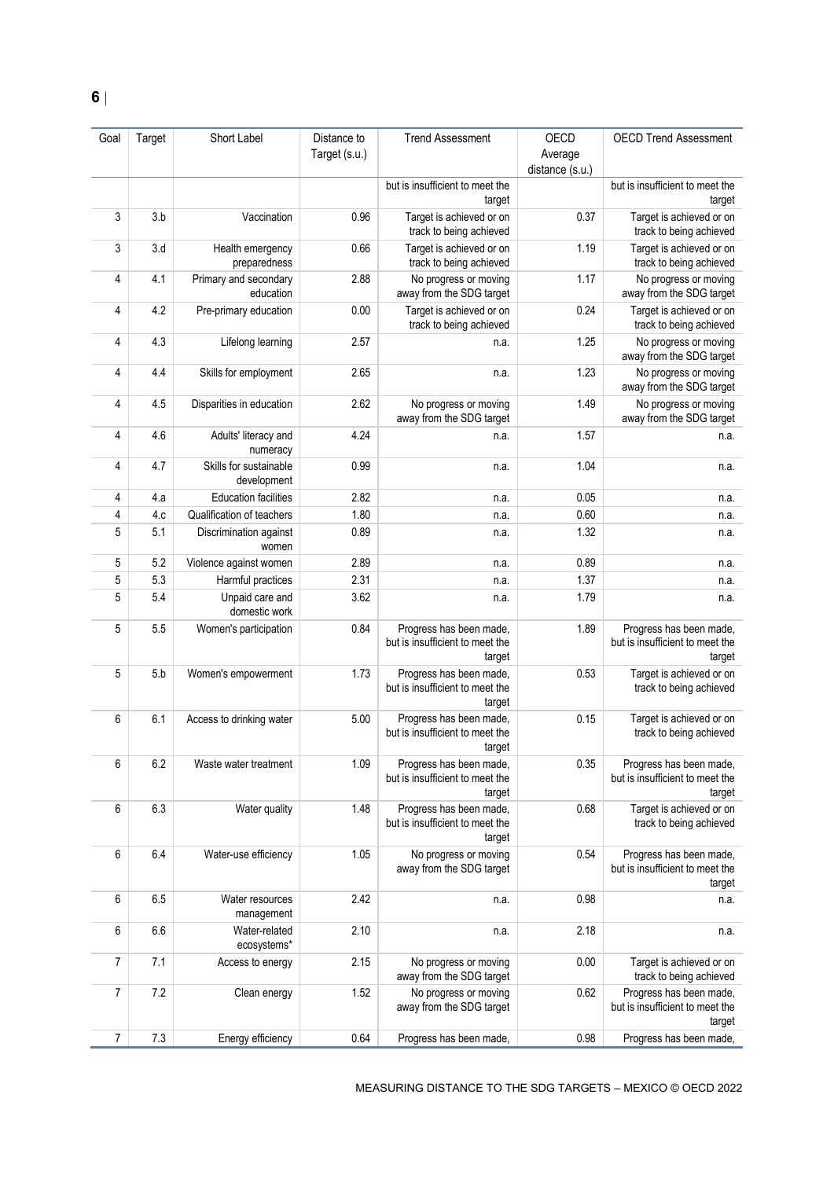| Goal | Target | Short Label                           | Distance to<br>Target (s.u.) | <b>Trend Assessment</b>                                              | OECD<br>Average | <b>OECD Trend Assessment</b>                                         |
|------|--------|---------------------------------------|------------------------------|----------------------------------------------------------------------|-----------------|----------------------------------------------------------------------|
|      |        |                                       |                              |                                                                      | distance (s.u.) |                                                                      |
|      |        |                                       |                              | but is insufficient to meet the<br>target                            |                 | but is insufficient to meet the<br>target                            |
| 3    | 3.b    | Vaccination                           | 0.96                         | Target is achieved or on<br>track to being achieved                  | 0.37            | Target is achieved or on<br>track to being achieved                  |
| 3    | 3.d    | Health emergency<br>preparedness      | 0.66                         | Target is achieved or on<br>track to being achieved                  | 1.19            | Target is achieved or on<br>track to being achieved                  |
| 4    | 4.1    | Primary and secondary<br>education    | 2.88                         | No progress or moving<br>away from the SDG target                    | 1.17            | No progress or moving<br>away from the SDG target                    |
| 4    | 4.2    | Pre-primary education                 | 0.00                         | Target is achieved or on<br>track to being achieved                  | 0.24            | Target is achieved or on<br>track to being achieved                  |
| 4    | 4.3    | Lifelong learning                     | 2.57                         | n.a.                                                                 | 1.25            | No progress or moving<br>away from the SDG target                    |
| 4    | 4.4    | Skills for employment                 | 2.65                         | n.a.                                                                 | 1.23            | No progress or moving<br>away from the SDG target                    |
| 4    | 4.5    | Disparities in education              | 2.62                         | No progress or moving<br>away from the SDG target                    | 1.49            | No progress or moving<br>away from the SDG target                    |
| 4    | 4.6    | Adults' literacy and<br>numeracy      | 4.24                         | n.a.                                                                 | 1.57            | n.a.                                                                 |
| 4    | 4.7    | Skills for sustainable<br>development | 0.99                         | n.a.                                                                 | 1.04            | n.a.                                                                 |
| 4    | 4.a    | <b>Education facilities</b>           | 2.82                         | n.a.                                                                 | $0.05\,$        | n.a.                                                                 |
| 4    | 4.c    | Qualification of teachers             | 1.80                         | n.a.                                                                 | 0.60            | n.a.                                                                 |
| 5    | 5.1    | Discrimination against<br>women       | 0.89                         | n.a.                                                                 | 1.32            | n.a.                                                                 |
| 5    | 5.2    | Violence against women                | 2.89                         | n.a.                                                                 | 0.89            | n.a.                                                                 |
| 5    | 5.3    | Harmful practices                     | 2.31                         | n.a.                                                                 | 1.37            | n.a.                                                                 |
| 5    | 5.4    | Unpaid care and<br>domestic work      | 3.62                         | n.a.                                                                 | 1.79            | n.a.                                                                 |
| 5    | 5.5    | Women's participation                 | 0.84                         | Progress has been made,<br>but is insufficient to meet the<br>target | 1.89            | Progress has been made,<br>but is insufficient to meet the<br>target |
| 5    | 5.b    | Women's empowerment                   | 1.73                         | Progress has been made,<br>but is insufficient to meet the<br>target | 0.53            | Target is achieved or on<br>track to being achieved                  |
| 6    | 6.1    | Access to drinking water              | 5.00                         | Progress has been made,<br>but is insufficient to meet the<br>target | 0.15            | Target is achieved or on<br>track to being achieved                  |
| 6    | 6.2    | Waste water treatment                 | 1.09                         | Progress has been made,<br>but is insufficient to meet the<br>target | 0.35            | Progress has been made,<br>but is insufficient to meet the<br>target |
| 6    | 6.3    | Water quality                         | 1.48                         | Progress has been made,<br>but is insufficient to meet the<br>target | 0.68            | Target is achieved or on<br>track to being achieved                  |
| 6    | 6.4    | Water-use efficiency                  | 1.05                         | No progress or moving<br>away from the SDG target                    | 0.54            | Progress has been made,<br>but is insufficient to meet the<br>target |
| 6    | 6.5    | Water resources<br>management         | 2.42                         | n.a.                                                                 | 0.98            | n.a.                                                                 |
| 6    | 6.6    | Water-related<br>ecosystems*          | 2.10                         | n.a.                                                                 | 2.18            | n.a.                                                                 |
| 7    | 7.1    | Access to energy                      | 2.15                         | No progress or moving<br>away from the SDG target                    | 0.00            | Target is achieved or on<br>track to being achieved                  |
| 7    | 7.2    | Clean energy                          | 1.52                         | No progress or moving<br>away from the SDG target                    | 0.62            | Progress has been made,<br>but is insufficient to meet the<br>target |
| 7    | 7.3    | Energy efficiency                     | 0.64                         | Progress has been made,                                              | 0.98            | Progress has been made,                                              |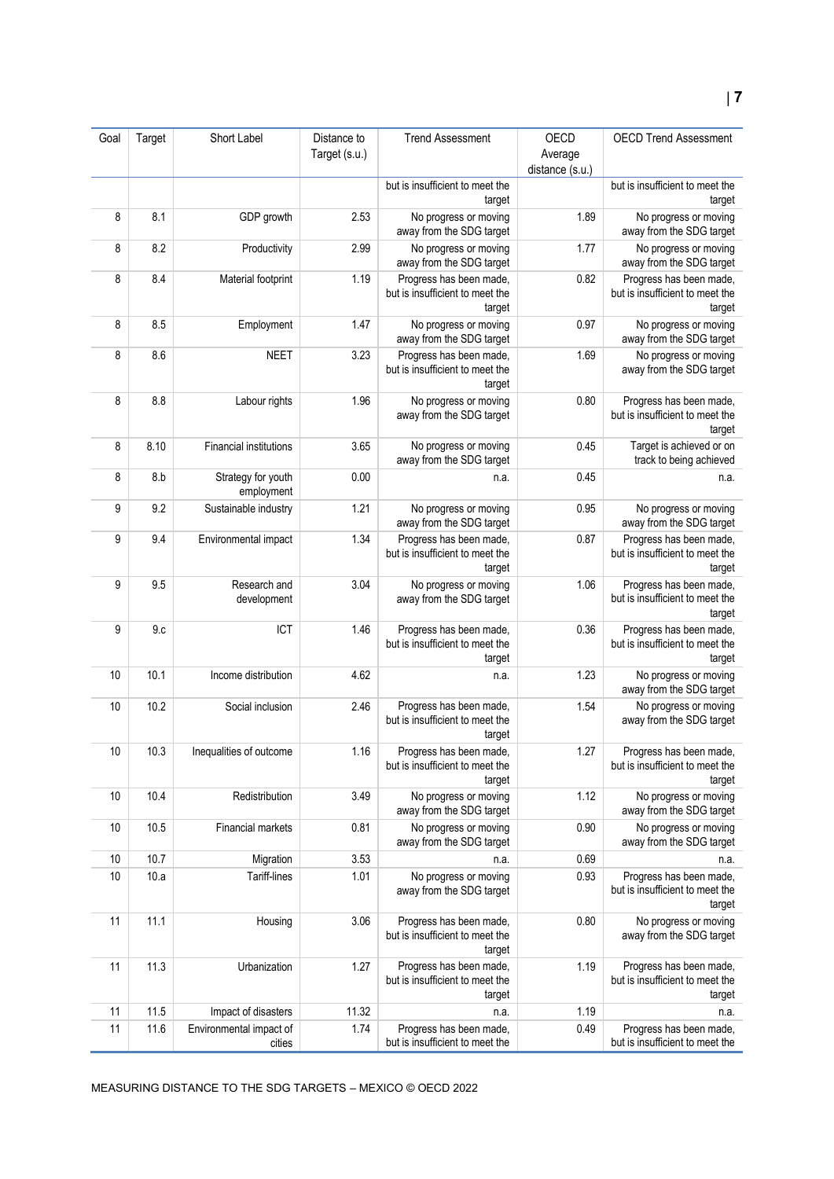| Goal | Target | Short Label                       | Distance to   | <b>Trend Assessment</b>                                              | OECD            | <b>OECD Trend Assessment</b>                                         |
|------|--------|-----------------------------------|---------------|----------------------------------------------------------------------|-----------------|----------------------------------------------------------------------|
|      |        |                                   | Target (s.u.) |                                                                      | Average         |                                                                      |
|      |        |                                   |               |                                                                      | distance (s.u.) |                                                                      |
|      |        |                                   |               | but is insufficient to meet the<br>target                            |                 | but is insufficient to meet the<br>target                            |
| 8    | 8.1    | GDP growth                        | 2.53          | No progress or moving<br>away from the SDG target                    | 1.89            | No progress or moving<br>away from the SDG target                    |
| 8    | 8.2    | Productivity                      | 2.99          | No progress or moving<br>away from the SDG target                    | 1.77            | No progress or moving<br>away from the SDG target                    |
| 8    | 8.4    | Material footprint                | 1.19          | Progress has been made,<br>but is insufficient to meet the<br>target | 0.82            | Progress has been made,<br>but is insufficient to meet the<br>target |
| 8    | 8.5    | Employment                        | 1.47          | No progress or moving<br>away from the SDG target                    | 0.97            | No progress or moving<br>away from the SDG target                    |
| 8    | 8.6    | <b>NEET</b>                       | 3.23          | Progress has been made,<br>but is insufficient to meet the<br>target | 1.69            | No progress or moving<br>away from the SDG target                    |
| 8    | 8.8    | Labour rights                     | 1.96          | No progress or moving<br>away from the SDG target                    | 0.80            | Progress has been made,<br>but is insufficient to meet the<br>target |
| 8    | 8.10   | <b>Financial institutions</b>     | 3.65          | No progress or moving<br>away from the SDG target                    | 0.45            | Target is achieved or on<br>track to being achieved                  |
| 8    | 8.b    | Strategy for youth<br>employment  | 0.00          | n.a.                                                                 | 0.45            | n.a.                                                                 |
| 9    | 9.2    | Sustainable industry              | 1.21          | No progress or moving<br>away from the SDG target                    | 0.95            | No progress or moving<br>away from the SDG target                    |
| 9    | 9.4    | Environmental impact              | 1.34          | Progress has been made,<br>but is insufficient to meet the<br>target | 0.87            | Progress has been made,<br>but is insufficient to meet the<br>target |
| 9    | 9.5    | Research and<br>development       | 3.04          | No progress or moving<br>away from the SDG target                    | 1.06            | Progress has been made,<br>but is insufficient to meet the<br>target |
| 9    | 9c     | ICT                               | 1.46          | Progress has been made,<br>but is insufficient to meet the<br>target | 0.36            | Progress has been made,<br>but is insufficient to meet the<br>target |
| 10   | 10.1   | Income distribution               | 4.62          | n.a.                                                                 | 1.23            | No progress or moving<br>away from the SDG target                    |
| 10   | 10.2   | Social inclusion                  | 2.46          | Progress has been made,<br>but is insufficient to meet the<br>target | 1.54            | No progress or moving<br>away from the SDG target                    |
| 10   | 10.3   | Inequalities of outcome           | 1.16          | Progress has been made,<br>but is insufficient to meet the<br>target | 1.27            | Progress has been made,<br>but is insufficient to meet the<br>target |
| 10   | 10.4   | Redistribution                    | 3.49          | No progress or moving<br>away from the SDG target                    | 1.12            | No progress or moving<br>away from the SDG target                    |
| 10   | 10.5   | Financial markets                 | 0.81          | No progress or moving<br>away from the SDG target                    | 0.90            | No progress or moving<br>away from the SDG target                    |
| 10   | 10.7   | Migration                         | 3.53          | n.a.                                                                 | 0.69            | n.a.                                                                 |
| 10   | 10.a   | Tariff-lines                      | 1.01          | No progress or moving<br>away from the SDG target                    | 0.93            | Progress has been made,<br>but is insufficient to meet the<br>target |
| 11   | 11.1   | Housing                           | 3.06          | Progress has been made,<br>but is insufficient to meet the<br>target | 0.80            | No progress or moving<br>away from the SDG target                    |
| 11   | 11.3   | Urbanization                      | 1.27          | Progress has been made,<br>but is insufficient to meet the<br>target | 1.19            | Progress has been made,<br>but is insufficient to meet the<br>target |
| 11   | 11.5   | Impact of disasters               | 11.32         | n.a.                                                                 | 1.19            | n.a.                                                                 |
| 11   | 11.6   | Environmental impact of<br>cities | 1.74          | Progress has been made,<br>but is insufficient to meet the           | 0.49            | Progress has been made,<br>but is insufficient to meet the           |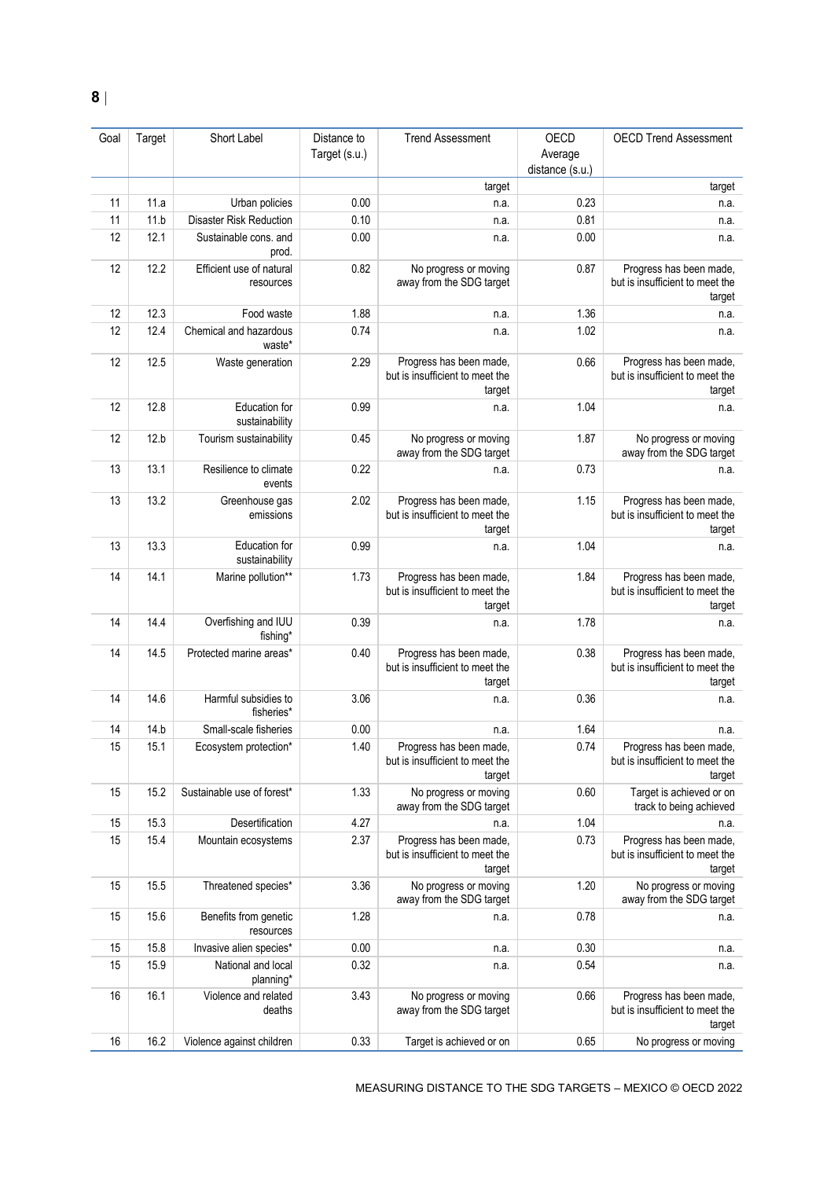| Goal | Target | Short Label                           | Distance to<br>Target (s.u.) | <b>Trend Assessment</b>                                              | OECD<br>Average | <b>OECD Trend Assessment</b>                                         |
|------|--------|---------------------------------------|------------------------------|----------------------------------------------------------------------|-----------------|----------------------------------------------------------------------|
|      |        |                                       |                              | target                                                               | distance (s.u.) | target                                                               |
| 11   | 11.a   | Urban policies                        | 0.00                         | n.a.                                                                 | 0.23            | n.a.                                                                 |
| 11   | 11.b   | <b>Disaster Risk Reduction</b>        | 0.10                         | n.a.                                                                 | 0.81            | n.a.                                                                 |
| 12   | 12.1   | Sustainable cons. and                 | 0.00                         | n.a.                                                                 | 0.00            | n.a.                                                                 |
|      |        | prod.                                 |                              |                                                                      |                 |                                                                      |
| 12   | 12.2   | Efficient use of natural<br>resources | 0.82                         | No progress or moving<br>away from the SDG target                    | 0.87            | Progress has been made,<br>but is insufficient to meet the<br>target |
| 12   | 12.3   | Food waste                            | 1.88                         | n.a.                                                                 | 1.36            | n.a.                                                                 |
| 12   | 12.4   | Chemical and hazardous<br>waste*      | 0.74                         | n.a.                                                                 | 1.02            | n.a.                                                                 |
| 12   | 12.5   | Waste generation                      | 2.29                         | Progress has been made,<br>but is insufficient to meet the<br>target | 0.66            | Progress has been made,<br>but is insufficient to meet the<br>target |
| 12   | 12.8   | Education for<br>sustainability       | 0.99                         | n.a.                                                                 | 1.04            | n.a.                                                                 |
| 12   | 12.b   | Tourism sustainability                | 0.45                         | No progress or moving<br>away from the SDG target                    | 1.87            | No progress or moving<br>away from the SDG target                    |
| 13   | 13.1   | Resilience to climate<br>events       | 0.22                         | n.a.                                                                 | 0.73            | n.a.                                                                 |
| 13   | 13.2   | Greenhouse gas<br>emissions           | 2.02                         | Progress has been made,<br>but is insufficient to meet the<br>target | 1.15            | Progress has been made,<br>but is insufficient to meet the<br>target |
| 13   | 13.3   | Education for<br>sustainability       | 0.99                         | n.a.                                                                 | 1.04            | n.a.                                                                 |
| 14   | 14.1   | Marine pollution**                    | 1.73                         | Progress has been made,<br>but is insufficient to meet the<br>target | 1.84            | Progress has been made,<br>but is insufficient to meet the<br>target |
| 14   | 14.4   | Overfishing and IUU<br>fishing*       | 0.39                         | n.a.                                                                 | 1.78            | n.a.                                                                 |
| 14   | 14.5   | Protected marine areas*               | 0.40                         | Progress has been made,<br>but is insufficient to meet the<br>target | 0.38            | Progress has been made,<br>but is insufficient to meet the<br>target |
| 14   | 14.6   | Harmful subsidies to<br>fisheries*    | 3.06                         | n.a.                                                                 | 0.36            | n.a.                                                                 |
| 14   | 14.b   | Small-scale fisheries                 | 0.00                         | n.a.                                                                 | 1.64            | n.a.                                                                 |
| 15   | 15.1   | Ecosystem protection*                 | 1.40                         | Progress has been made,<br>but is insufficient to meet the<br>target | 0.74            | Progress has been made.<br>but is insufficient to meet the<br>target |
| 15   | 15.2   | Sustainable use of forest*            | 1.33                         | No progress or moving<br>away from the SDG target                    | 0.60            | Target is achieved or on<br>track to being achieved                  |
| 15   | 15.3   | Desertification                       | 4.27                         | n.a.                                                                 | 1.04            | n.a.                                                                 |
| 15   | 15.4   | Mountain ecosystems                   | 2.37                         | Progress has been made,<br>but is insufficient to meet the<br>target | 0.73            | Progress has been made,<br>but is insufficient to meet the<br>target |
| 15   | 15.5   | Threatened species*                   | 3.36                         | No progress or moving<br>away from the SDG target                    | 1.20            | No progress or moving<br>away from the SDG target                    |
| 15   | 15.6   | Benefits from genetic<br>resources    | 1.28                         | n.a.                                                                 | 0.78            | n.a.                                                                 |
| 15   | 15.8   | Invasive alien species*               | 0.00                         | n.a.                                                                 | 0.30            | n.a.                                                                 |
| 15   | 15.9   | National and local<br>planning*       | 0.32                         | n.a.                                                                 | 0.54            | n.a.                                                                 |
| 16   | 16.1   | Violence and related<br>deaths        | 3.43                         | No progress or moving<br>away from the SDG target                    | 0.66            | Progress has been made,<br>but is insufficient to meet the<br>target |
| 16   | 16.2   | Violence against children             | 0.33                         | Target is achieved or on                                             | 0.65            | No progress or moving                                                |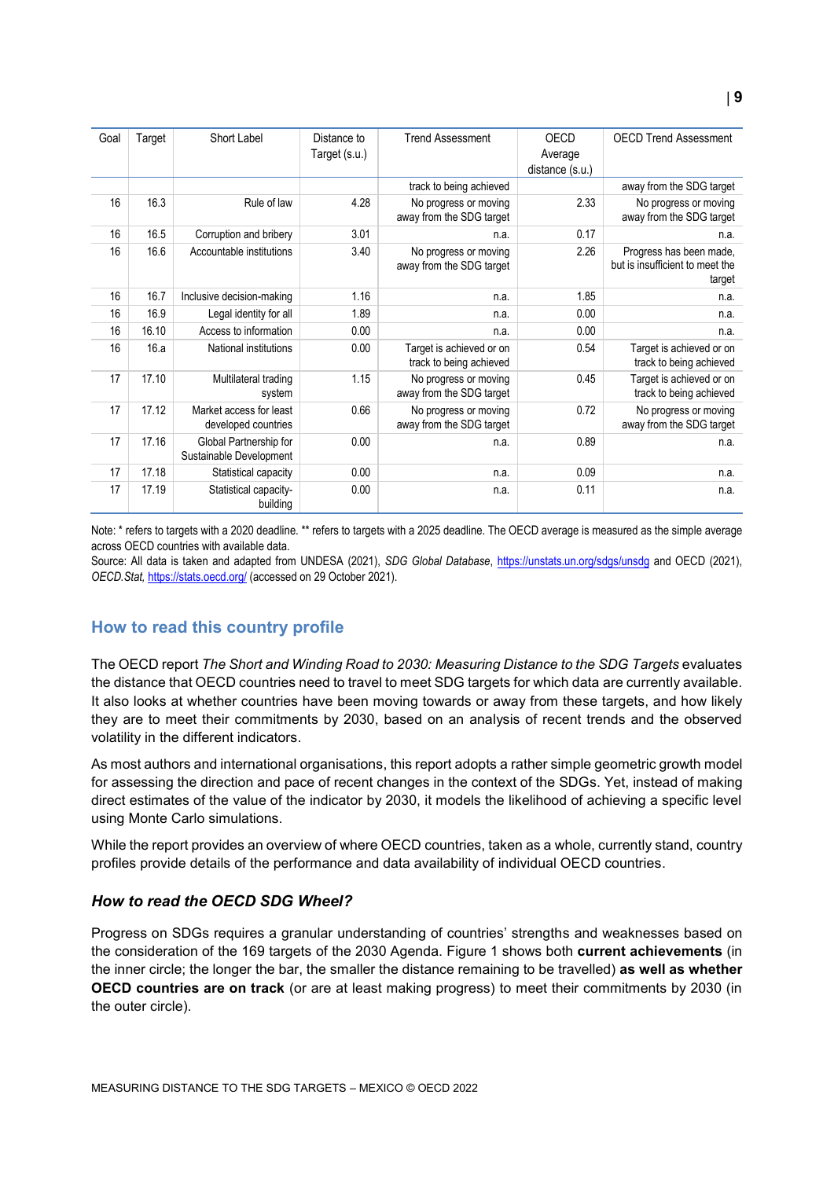| Goal | Target | Short Label                  | Distance to   | <b>Trend Assessment</b>  | OECD            | <b>OECD Trend Assessment</b>    |
|------|--------|------------------------------|---------------|--------------------------|-----------------|---------------------------------|
|      |        |                              | Target (s.u.) |                          | Average         |                                 |
|      |        |                              |               |                          | distance (s.u.) |                                 |
|      |        |                              |               |                          |                 |                                 |
|      |        |                              |               | track to being achieved  |                 | away from the SDG target        |
| 16   | 16.3   | Rule of law                  | 4.28          | No progress or moving    | 2.33            | No progress or moving           |
|      |        |                              |               | away from the SDG target |                 | away from the SDG target        |
| 16   | 16.5   | Corruption and bribery       | 3.01          | n.a.                     | 0.17            | n.a.                            |
| 16   | 16.6   | Accountable institutions     | 3.40          | No progress or moving    | 2.26            | Progress has been made,         |
|      |        |                              |               | away from the SDG target |                 | but is insufficient to meet the |
|      |        |                              |               |                          |                 | target                          |
| 16   | 16.7   |                              | 1.16          |                          | 1.85            |                                 |
|      |        | Inclusive decision-making    |               | n.a.                     |                 | n.a.                            |
| 16   | 16.9   | Legal identity for all       | 1.89          | n.a.                     | 0.00            | n.a.                            |
| 16   | 16.10  | Access to information        | 0.00          | n.a.                     | 0.00            | n.a.                            |
| 16   | 16.a   | <b>National institutions</b> | 0.00          | Target is achieved or on | 0.54            | Target is achieved or on        |
|      |        |                              |               | track to being achieved  |                 | track to being achieved         |
| 17   | 17.10  | Multilateral trading         | 1.15          | No progress or moving    | 0.45            | Target is achieved or on        |
|      |        | system                       |               | away from the SDG target |                 | track to being achieved         |
|      |        |                              |               |                          |                 |                                 |
| 17   | 17.12  | Market access for least      | 0.66          | No progress or moving    | 0.72            | No progress or moving           |
|      |        | developed countries          |               | away from the SDG target |                 | away from the SDG target        |
| 17   | 17.16  | Global Partnership for       | 0.00          | n.a.                     | 0.89            | n.a.                            |
|      |        | Sustainable Development      |               |                          |                 |                                 |
| 17   | 17.18  | Statistical capacity         | 0.00          | n.a.                     | 0.09            | n.a.                            |
| 17   | 17.19  | Statistical capacity-        | 0.00          | n.a.                     | 0.11            | n.a.                            |
|      |        | building                     |               |                          |                 |                                 |
|      |        |                              |               |                          |                 |                                 |

Note: \* refers to targets with a 2020 deadline. \*\* refers to targets with a 2025 deadline. The OECD average is measured as the simple average across OECD countries with available data.

Source: All data is taken and adapted from UNDESA (2021), *SDG Global Database*,<https://unstats.un.org/sdgs/unsdg> and OECD (2021), *OECD.Stat,* <https://stats.oecd.org/> (accessed on 29 October 2021).

## <span id="page-8-0"></span>**How to read this country profile**

The OECD report *The Short and Winding Road to 2030: Measuring Distance to the SDG Targets* evaluates the distance that OECD countries need to travel to meet SDG targets for which data are currently available. It also looks at whether countries have been moving towards or away from these targets, and how likely they are to meet their commitments by 2030, based on an analysis of recent trends and the observed volatility in the different indicators.

As most authors and international organisations, this report adopts a rather simple geometric growth model for assessing the direction and pace of recent changes in the context of the SDGs. Yet, instead of making direct estimates of the value of the indicator by 2030, it models the likelihood of achieving a specific level using Monte Carlo simulations.

While the report provides an overview of where OECD countries, taken as a whole, currently stand, country profiles provide details of the performance and data availability of individual OECD countries.

#### *How to read the OECD SDG Wheel?*

Progress on SDGs requires a granular understanding of countries' strengths and weaknesses based on the consideration of the 169 targets of the 2030 Agenda. [Figure](#page-0-0) 1 shows both **current achievements** (in the inner circle; the longer the bar, the smaller the distance remaining to be travelled) **as well as whether OECD countries are on track** (or are at least making progress) to meet their commitments by 2030 (in the outer circle).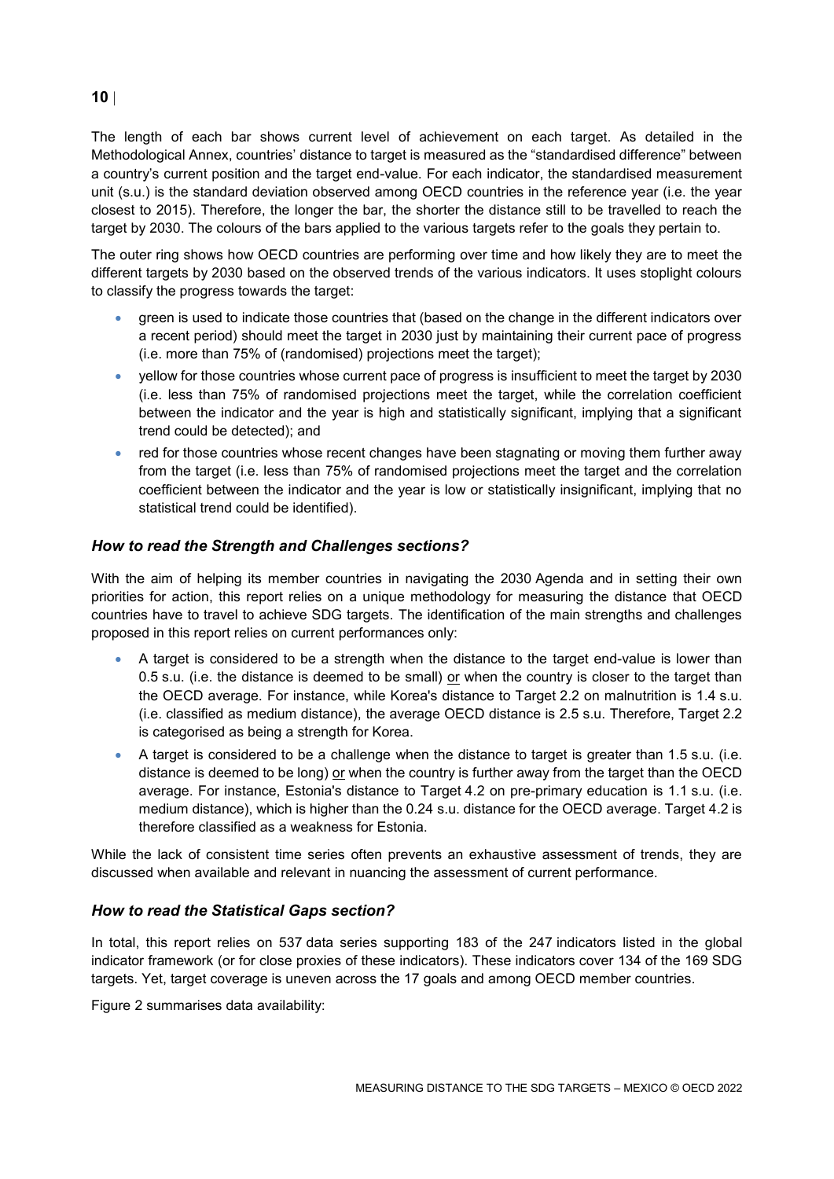The length of each bar shows current level of achievement on each target. As detailed in the Methodological Annex, countries' distance to target is measured as the "standardised difference" between a country's current position and the target end-value. For each indicator, the standardised measurement unit (s.u.) is the standard deviation observed among OECD countries in the reference year (i.e. the year closest to 2015). Therefore, the longer the bar, the shorter the distance still to be travelled to reach the target by 2030. The colours of the bars applied to the various targets refer to the goals they pertain to.

The outer ring shows how OECD countries are performing over time and how likely they are to meet the different targets by 2030 based on the observed trends of the various indicators. It uses stoplight colours to classify the progress towards the target:

- green is used to indicate those countries that (based on the change in the different indicators over a recent period) should meet the target in 2030 just by maintaining their current pace of progress (i.e. more than 75% of (randomised) projections meet the target);
- yellow for those countries whose current pace of progress is insufficient to meet the target by 2030 (i.e. less than 75% of randomised projections meet the target, while the correlation coefficient between the indicator and the year is high and statistically significant, implying that a significant trend could be detected); and
- red for those countries whose recent changes have been stagnating or moving them further away from the target (i.e. less than 75% of randomised projections meet the target and the correlation coefficient between the indicator and the year is low or statistically insignificant, implying that no statistical trend could be identified).

## *How to read the Strength and Challenges sections?*

With the aim of helping its member countries in navigating the 2030 Agenda and in setting their own priorities for action, this report relies on a unique methodology for measuring the distance that OECD countries have to travel to achieve SDG targets. The identification of the main strengths and challenges proposed in this report relies on current performances only:

- A target is considered to be a strength when the distance to the target end-value is lower than 0.5 s.u. (i.e. the distance is deemed to be small) or when the country is closer to the target than the OECD average. For instance, while Korea's distance to Target 2.2 on malnutrition is 1.4 s.u. (i.e. classified as medium distance), the average OECD distance is 2.5 s.u. Therefore, Target 2.2 is categorised as being a strength for Korea.
- A target is considered to be a challenge when the distance to target is greater than 1.5 s.u. (i.e. distance is deemed to be long) or when the country is further away from the target than the OECD average. For instance, Estonia's distance to Target 4.2 on pre-primary education is 1.1 s.u. (i.e. medium distance), which is higher than the 0.24 s.u. distance for the OECD average. Target 4.2 is therefore classified as a weakness for Estonia.

While the lack of consistent time series often prevents an exhaustive assessment of trends, they are discussed when available and relevant in nuancing the assessment of current performance.

#### *How to read the Statistical Gaps section?*

In total, this report relies on 537 data series supporting 183 of the 247 indicators listed in the global indicator framework (or for close proxies of these indicators). These indicators cover 134 of the 169 SDG targets. Yet, target coverage is uneven across the 17 goals and among OECD member countries.

[Figure](#page-3-0) 2 summarises data availability:

### **10**